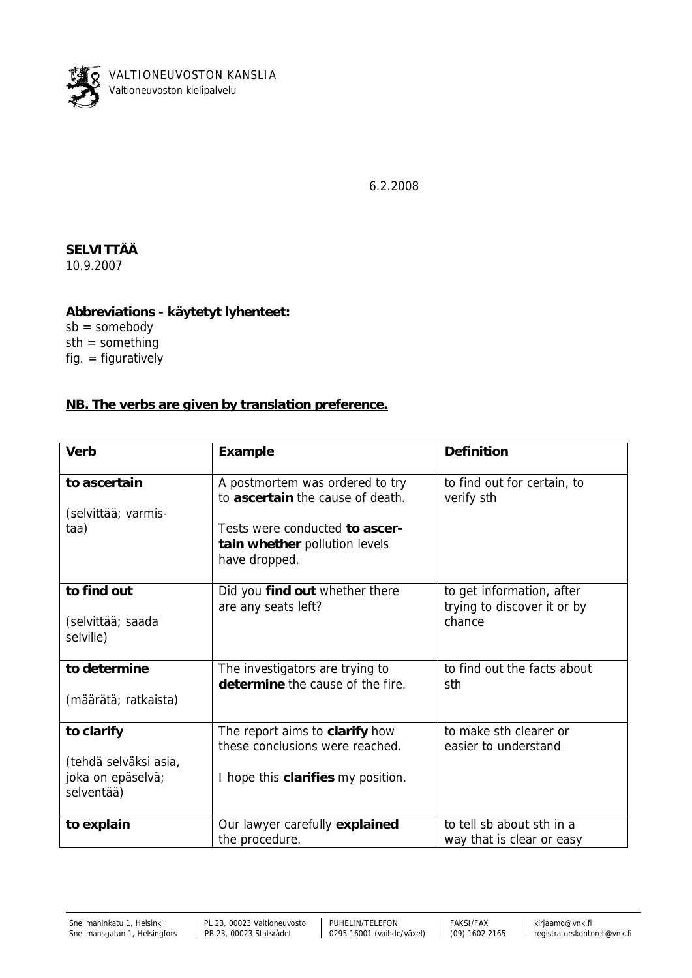

6.2.2008

**SELVITTÄÄ** 10.9.2007

**Abbreviations - käytetyt lyhenteet:**  $sb =$ somebody sth = something fig.  $=$  figuratively

## **NB. The verbs are given by translation preference.**

| Verb                            | Example                                                                          | Definition                                               |
|---------------------------------|----------------------------------------------------------------------------------|----------------------------------------------------------|
| to ascertain                    | A postmortem was ordered to try<br>to ascertain the cause of death.              | to find out for certain, to<br>verify sth                |
| (selvittää; varmis-             |                                                                                  |                                                          |
| taa)                            | Tests were conducted to ascer-<br>tain whether pollution levels<br>have dropped. |                                                          |
| to find out                     | Did you find out whether there<br>are any seats left?                            | to get information, after<br>trying to discover it or by |
| (selvittää; saada<br>selville)  |                                                                                  | chance                                                   |
| to determine                    | The investigators are trying to<br>determine the cause of the fire.              | to find out the facts about<br>sth                       |
| (määrätä; ratkaista)            |                                                                                  |                                                          |
| to clarify                      | The report aims to clarify how<br>these conclusions were reached.                | to make sth clearer or<br>easier to understand           |
| (tehdä selväksi asia,           |                                                                                  |                                                          |
| joka on epäselvä;<br>selventää) | I hope this clarifies my position.                                               |                                                          |
| to explain                      | Our lawyer carefully explained<br>the procedure.                                 | to tell sb about sth in a<br>way that is clear or easy   |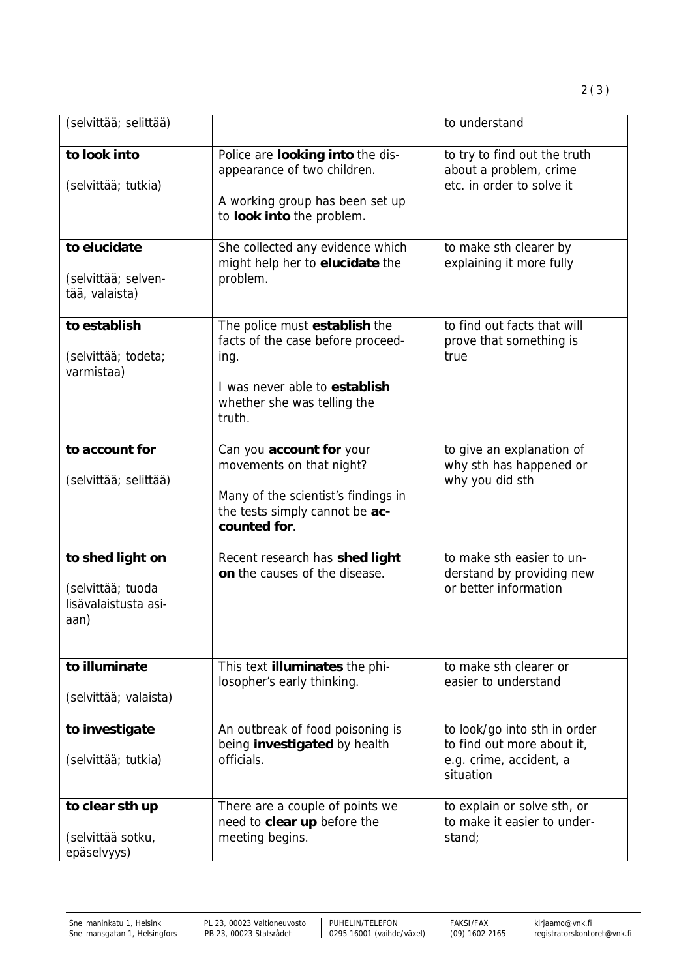| to look into<br>(selvittää; tutkia)                                   | Police are looking into the dis-<br>appearance of two children.<br>A working group has been set up<br>to look into the problem.                      | to try to find out the truth<br>about a problem, crime<br>etc. in order to solve it                |
|-----------------------------------------------------------------------|------------------------------------------------------------------------------------------------------------------------------------------------------|----------------------------------------------------------------------------------------------------|
| to elucidate<br>(selvittää; selven-<br>tää, valaista)                 | She collected any evidence which<br>might help her to elucidate the<br>problem.                                                                      | to make sth clearer by<br>explaining it more fully                                                 |
| to establish<br>(selvittää; todeta;<br>varmistaa)                     | The police must establish the<br>facts of the case before proceed-<br>ing.<br>I was never able to establish<br>whether she was telling the<br>truth. | to find out facts that will<br>prove that something is<br>true                                     |
| to account for<br>(selvittää; selittää)                               | Can you account for your<br>movements on that night?<br>Many of the scientist's findings in<br>the tests simply cannot be ac-<br>counted for.        | to give an explanation of<br>why sth has happened or<br>why you did sth                            |
| to shed light on<br>(selvittää; tuoda<br>lisävalaistusta asi-<br>aan) | Recent research has shed light<br>on the causes of the disease.                                                                                      | to make sth easier to un-<br>derstand by providing new<br>or better information                    |
| to illuminate<br>(selvittää; valaista)                                | This text illuminates the phi-<br>losopher's early thinking.                                                                                         | to make sth clearer or<br>easier to understand                                                     |
| to investigate<br>(selvittää; tutkia)                                 | An outbreak of food poisoning is<br>being investigated by health<br>officials.                                                                       | to look/go into sth in order<br>to find out more about it,<br>e.g. crime, accident, a<br>situation |
| to clear sth up<br>(selvittää sotku,                                  | There are a couple of points we<br>need to clear up before the<br>meeting begins.                                                                    | to explain or solve sth, or<br>to make it easier to under-<br>stand;                               |

(selvittää; selittää) isia to understand

epäselvyys)